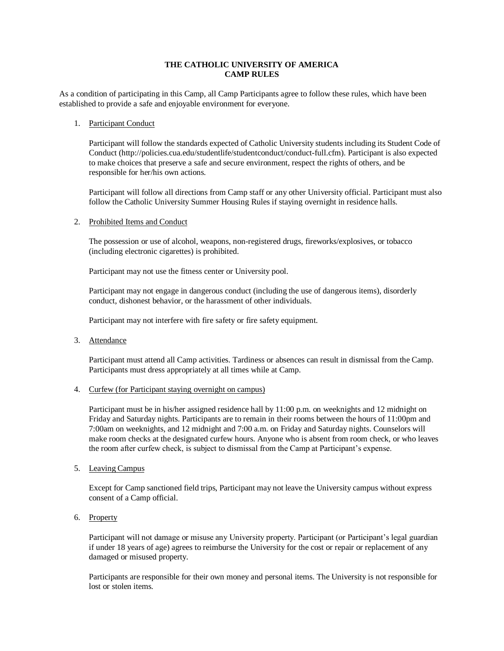## **THE CATHOLIC UNIVERSITY OF AMERICA CAMP RULES**

As a condition of participating in this Camp, all Camp Participants agree to follow these rules, which have been established to provide a safe and enjoyable environment for everyone.

## 1. Participant Conduct

Participant will follow the standards expected of Catholic University students including its Student Code of Conduc[t \(http://policies.cua.edu/studentlife/studentconduct/conduct-full.cfm\). P](http://policies.cua.edu/studentlife/studentconduct/conduct-full.cfm))articipant is also expected to make choices that preserve a safe and secure environment, respect the rights of others, and be responsible for her/his own actions.

Participant will follow all directions from Camp staff or any other University official. Participant must also follow the Catholic University Summer Housing Rules if staying overnight in residence halls.

2. Prohibited Items and Conduct

The possession or use of alcohol, weapons, non-registered drugs, fireworks/explosives, or tobacco (including electronic cigarettes) is prohibited.

Participant may not use the fitness center or University pool.

Participant may not engage in dangerous conduct (including the use of dangerous items), disorderly conduct, dishonest behavior, or the harassment of other individuals.

Participant may not interfere with fire safety or fire safety equipment.

3. Attendance

Participant must attend all Camp activities. Tardiness or absences can result in dismissal from the Camp. Participants must dress appropriately at all times while at Camp.

#### 4. Curfew (for Participant staying overnight on campus)

Participant must be in his/her assigned residence hall by 11:00 p.m. on weeknights and 12 midnight on Friday and Saturday nights. Participants are to remain in their rooms between the hours of 11:00pm and 7:00am on weeknights, and 12 midnight and 7:00 a.m. on Friday and Saturday nights. Counselors will make room checks at the designated curfew hours. Anyone who is absent from room check, or who leaves the room after curfew check, is subject to dismissal from the Camp at Participant's expense.

5. Leaving Campus

Except for Camp sanctioned field trips, Participant may not leave the University campus without express consent of a Camp official.

6. Property

Participant will not damage or misuse any University property. Participant (or Participant's legal guardian if under 18 years of age) agrees to reimburse the University for the cost or repair or replacement of any damaged or misused property.

Participants are responsible for their own money and personal items. The University is not responsible for lost or stolen items.